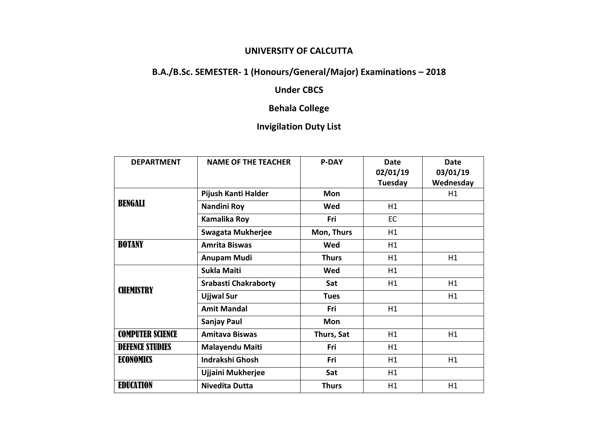#### **UNIVERSITY OF CALCUTTA**

# **B.A./B.Sc. SEMESTER- 1 (Honours/General/Major) Examinations – 2018**

## **Under CBCS**

## **Behala College**

## **Invigilation Duty List**

| <b>DEPARTMENT</b>       | <b>NAME OF THE TEACHER</b>  | <b>P-DAY</b> | Date<br>02/01/19<br>Tuesday | <b>Date</b><br>03/01/19<br>Wednesday |
|-------------------------|-----------------------------|--------------|-----------------------------|--------------------------------------|
| BENGALI                 | Pijush Kanti Halder         | <b>Mon</b>   |                             | H1                                   |
|                         | Nandini Roy                 | Wed          | H1                          |                                      |
|                         | Kamalika Roy                | Fri          | <b>EC</b>                   |                                      |
|                         | <b>Swagata Mukherjee</b>    | Mon, Thurs   | H1                          |                                      |
| <b>BOTANY</b>           | <b>Amrita Biswas</b>        | Wed          | H1                          |                                      |
|                         | <b>Anupam Mudi</b>          | <b>Thurs</b> | H1                          | H1                                   |
| <b>CHEMISTRY</b>        | <b>Sukla Maiti</b>          | Wed          | H1                          |                                      |
|                         | <b>Srabasti Chakraborty</b> | Sat          | H1                          | H1                                   |
|                         | <b>Ujjwal Sur</b>           | <b>Tues</b>  |                             | H1                                   |
|                         | <b>Amit Mandal</b>          | Fri          | H1                          |                                      |
|                         | Sanjay Paul                 | Mon          |                             |                                      |
| <b>COMPUTER SCIENCE</b> | <b>Amitava Biswas</b>       | Thurs, Sat   | H1                          | H1                                   |
| <b>DEFENCE STUDIES</b>  | <b>Malayendu Maiti</b>      | Fri          | H1                          |                                      |
| <b>ECONOMICS</b>        | <b>Indrakshi Ghosh</b>      | Fri          | H1                          | H1                                   |
|                         | Ujjaini Mukherjee           | Sat          | H1                          |                                      |
| <b>EDUCATION</b>        | <b>Nivedita Dutta</b>       | <b>Thurs</b> | H1                          | H1                                   |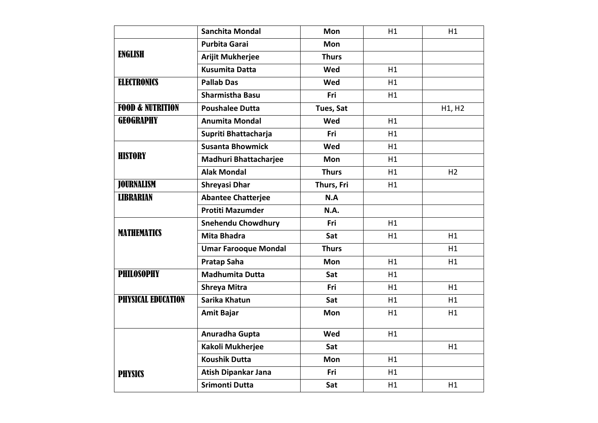|                             | <b>Sanchita Mondal</b>       | Mon          | H1 | H1             |
|-----------------------------|------------------------------|--------------|----|----------------|
| <b>ENGLISH</b>              | <b>Purbita Garai</b>         | <b>Mon</b>   |    |                |
|                             | <b>Arijit Mukherjee</b>      | <b>Thurs</b> |    |                |
|                             | <b>Kusumita Datta</b>        | Wed          | H1 |                |
| <b>ELECTRONICS</b>          | <b>Pallab Das</b>            | Wed          | H1 |                |
|                             | <b>Sharmistha Basu</b>       | Fri          | H1 |                |
| <b>FOOD &amp; NUTRITION</b> | <b>Poushalee Dutta</b>       | Tues, Sat    |    | H1, H2         |
| <b>GEOGRAPHY</b>            | <b>Anumita Mondal</b>        | Wed          | H1 |                |
|                             | Supriti Bhattacharja         | <b>Fri</b>   | H1 |                |
| <b>HISTORY</b>              | <b>Susanta Bhowmick</b>      | Wed          | H1 |                |
|                             | <b>Madhuri Bhattacharjee</b> | Mon          | H1 |                |
|                             | <b>Alak Mondal</b>           | <b>Thurs</b> | H1 | H <sub>2</sub> |
| <b>JOURNALISM</b>           | <b>Shreyasi Dhar</b>         | Thurs, Fri   | H1 |                |
| <b>LIBRARIAN</b>            | <b>Abantee Chatterjee</b>    | N.A          |    |                |
|                             | <b>Protiti Mazumder</b>      | N.A.         |    |                |
| <b>MATHEMATICS</b>          | <b>Snehendu Chowdhury</b>    | Fri          | H1 |                |
|                             | <b>Mita Bhadra</b>           | Sat          | H1 | H1             |
|                             | <b>Umar Farooque Mondal</b>  | <b>Thurs</b> |    | H1             |
|                             | <b>Pratap Saha</b>           | <b>Mon</b>   | H1 | H1             |
| <b>PHILOSOPHY</b>           | <b>Madhumita Dutta</b>       | Sat          | H1 |                |
|                             | <b>Shreya Mitra</b>          | Fri          | H1 | H1             |
| <b>PHYSICAL EDUCATION</b>   | Sarika Khatun                | Sat          | H1 | H1             |
|                             | <b>Amit Bajar</b>            | Mon          | H1 | H1             |
|                             | Anuradha Gupta               | Wed          | H1 |                |
|                             | Kakoli Mukherjee             | Sat          |    | H1             |
|                             | <b>Koushik Dutta</b>         | Mon          | H1 |                |
| <b>PHYSICS</b>              | Atish Dipankar Jana          | Fri          | H1 |                |
|                             | <b>Srimonti Dutta</b>        | Sat          | H1 | H1             |